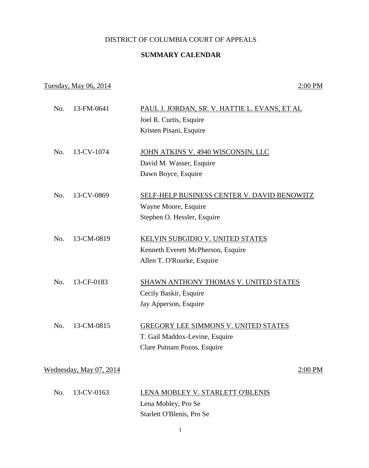## DISTRICT OF COLUMBIA COURT OF APPEALS

## **SUMMARY CALENDAR**

## Tuesday, May 06, 2014 2:00 PM

| No. | 13-FM-0641              | PAUL J. JORDAN, SR. V. HATTIE L. EVANS, ET AL |         |
|-----|-------------------------|-----------------------------------------------|---------|
|     |                         | Joel R. Curtis, Esquire                       |         |
|     |                         | Kristen Pisani, Esquire                       |         |
| No. | 13-CV-1074              | JOHN ATKINS V. 4940 WISCONSIN, LLC            |         |
|     |                         |                                               |         |
|     |                         | David M. Wasser, Esquire                      |         |
|     |                         | Dawn Boyce, Esquire                           |         |
| No. | 13-CV-0869              | SELF-HELP BUSINESS CENTER V. DAVID BENOWITZ   |         |
|     |                         | Wayne Moore, Esquire                          |         |
|     |                         | Stephen O. Hessler, Esquire                   |         |
| No. | 13-CM-0819              | <b>KELVIN SUBGIDIO V. UNITED STATES</b>       |         |
|     |                         | Kenneth Everett McPherson, Esquire            |         |
|     |                         | Allen T. O'Rourke, Esquire                    |         |
|     |                         |                                               |         |
| No. | 13-CF-0183              | SHAWN ANTHONY THOMAS V. UNITED STATES         |         |
|     |                         | Cecily Baskir, Esquire                        |         |
|     |                         | Jay Apperson, Esquire                         |         |
| No. | 13-CM-0815              | <b>GREGORY LEE SIMMONS V. UNITED STATES</b>   |         |
|     |                         | T. Gail Maddox-Levine, Esquire                |         |
|     |                         | Clare Putnam Pozos, Esquire                   |         |
|     | Wednesday, May 07, 2014 |                                               | 2:00 PM |
|     |                         |                                               |         |
| No. | 13-CV-0163              | LENA MOBLEY V. STARLETT O'BLENIS              |         |
|     |                         | Lena Mobley, Pro Se                           |         |
|     |                         | Starlett O'Blenis, Pro Se                     |         |

1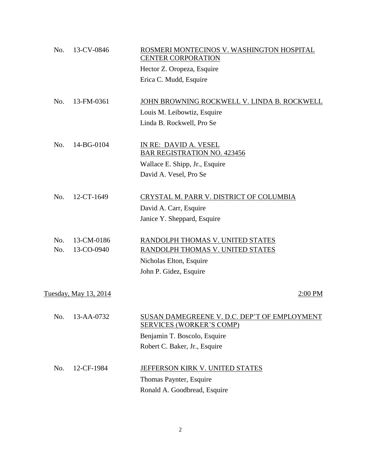| JOHN BROWNING ROCKWELL V. LINDA B. ROCKWELL  |
|----------------------------------------------|
|                                              |
|                                              |
|                                              |
|                                              |
|                                              |
|                                              |
|                                              |
|                                              |
|                                              |
|                                              |
| CRYSTAL M. PARR V. DISTRICT OF COLUMBIA      |
|                                              |
|                                              |
|                                              |
|                                              |
|                                              |
|                                              |
| $2:00$ PM                                    |
|                                              |
| SUSAN DAMEGREENE V. D.C. DEP'T OF EMPLOYMENT |
|                                              |
|                                              |
|                                              |
|                                              |
|                                              |
|                                              |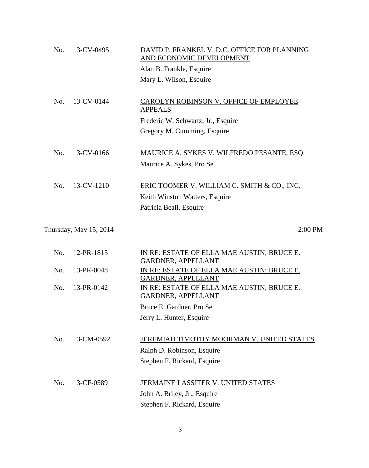| No. | 13-CV-0495                    | DAVID P. FRANKEL V. D.C. OFFICE FOR PLANNING<br>AND ECONOMIC DEVELOPMENT |
|-----|-------------------------------|--------------------------------------------------------------------------|
|     |                               | Alan B. Frankle, Esquire                                                 |
|     |                               | Mary L. Wilson, Esquire                                                  |
| No. | 13-CV-0144                    | CAROLYN ROBINSON V. OFFICE OF EMPLOYEE<br><b>APPEALS</b>                 |
|     |                               | Frederic W. Schwartz, Jr., Esquire                                       |
|     |                               | Gregory M. Cumming, Esquire                                              |
| No. | 13-CV-0166                    | MAURICE A. SYKES V. WILFREDO PESANTE, ESQ.                               |
|     |                               | Maurice A. Sykes, Pro Se                                                 |
| No. | 13-CV-1210                    | ERIC TOOMER V. WILLIAM C. SMITH & CO., INC.                              |
|     |                               |                                                                          |
|     |                               | Keith Winston Watters, Esquire                                           |
|     |                               | Patricia Beall, Esquire                                                  |
|     | <u>Thursday, May 15, 2014</u> | 2:00 PM                                                                  |
| No. | 12-PR-1815                    | IN RE: ESTATE OF ELLA MAE AUSTIN; BRUCE E.<br><b>GARDNER, APPELLANT</b>  |
| No. | 13-PR-0048                    | IN RE: ESTATE OF ELLA MAE AUSTIN; BRUCE E.<br>GARDNER, APPELLANT         |
| No. | 13-PR-0142                    | IN RE: ESTATE OF ELLA MAE AUSTIN; BRUCE E.<br>GARDNER, APPELLANT         |
|     |                               | Bruce E. Gardner, Pro Se                                                 |
|     |                               | Jerry L. Hunter, Esquire                                                 |
| No. | 13-CM-0592                    | JEREMIAH TIMOTHY MOORMAN V. UNITED STATES                                |
|     |                               | Ralph D. Robinson, Esquire                                               |
|     |                               | Stephen F. Rickard, Esquire                                              |
| No. | 13-CF-0589                    | JERMAINE LASSITER V. UNITED STATES                                       |
|     |                               | John A. Briley, Jr., Esquire                                             |
|     |                               | Stephen F. Rickard, Esquire                                              |
|     |                               |                                                                          |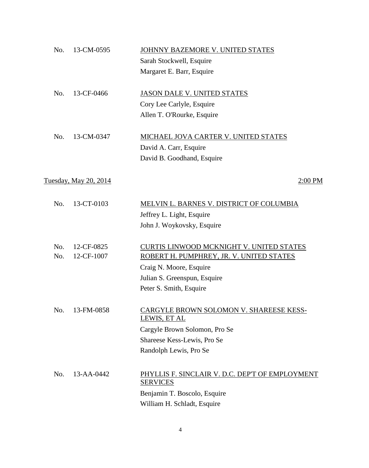| No. | 13-CM-0595            | JOHNNY BAZEMORE V. UNITED STATES                                   |
|-----|-----------------------|--------------------------------------------------------------------|
|     |                       | Sarah Stockwell, Esquire                                           |
|     |                       | Margaret E. Barr, Esquire                                          |
| No. | 13-CF-0466            | <b>JASON DALE V. UNITED STATES</b>                                 |
|     |                       | Cory Lee Carlyle, Esquire                                          |
|     |                       | Allen T. O'Rourke, Esquire                                         |
| No. | 13-CM-0347            | MICHAEL JOVA CARTER V. UNITED STATES                               |
|     |                       | David A. Carr, Esquire                                             |
|     |                       | David B. Goodhand, Esquire                                         |
|     | Tuesday, May 20, 2014 | 2:00 PM                                                            |
| No. | 13-CT-0103            | MELVIN L. BARNES V. DISTRICT OF COLUMBIA                           |
|     |                       | Jeffrey L. Light, Esquire                                          |
|     |                       | John J. Woykovsky, Esquire                                         |
| No. | 12-CF-0825            | CURTIS LINWOOD MCKNIGHT V. UNITED STATES                           |
| No. | 12-CF-1007            | ROBERT H. PUMPHREY, JR. V. UNITED STATES                           |
|     |                       | Craig N. Moore, Esquire                                            |
|     |                       | Julian S. Greenspun, Esquire                                       |
|     |                       | Peter S. Smith, Esquire                                            |
| No. | 13-FM-0858            | CARGYLE BROWN SOLOMON V. SHAREESE KESS-<br>LEWIS, ET AL            |
|     |                       | Cargyle Brown Solomon, Pro Se                                      |
|     |                       | Shareese Kess-Lewis, Pro Se                                        |
|     |                       | Randolph Lewis, Pro Se                                             |
| No. | 13-AA-0442            | PHYLLIS F. SINCLAIR V. D.C. DEP'T OF EMPLOYMENT<br><b>SERVICES</b> |
|     |                       | Benjamin T. Boscolo, Esquire                                       |
|     |                       | William H. Schladt, Esquire                                        |
|     |                       |                                                                    |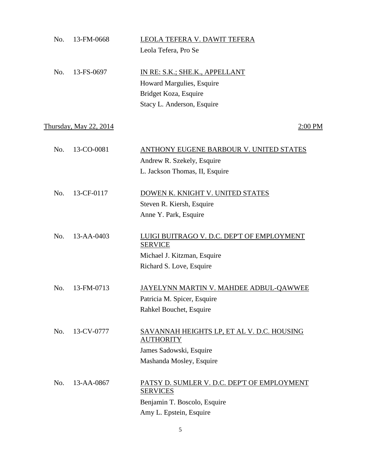| No. | 13-FM-0668             | LEOLA TEFERA V. DAWIT TEFERA<br>Leola Tefera, Pro Se                                                                      |
|-----|------------------------|---------------------------------------------------------------------------------------------------------------------------|
| No. | 13-FS-0697             | IN RE: S.K.; SHE.K., APPELLANT<br>Howard Margulies, Esquire<br>Bridget Koza, Esquire<br>Stacy L. Anderson, Esquire        |
|     | Thursday, May 22, 2014 | 2:00 PM                                                                                                                   |
| No. | 13-CO-0081             | <b>ANTHONY EUGENE BARBOUR V. UNITED STATES</b><br>Andrew R. Szekely, Esquire<br>L. Jackson Thomas, II, Esquire            |
| No. | 13-CF-0117             | DOWEN K. KNIGHT V. UNITED STATES<br>Steven R. Kiersh, Esquire<br>Anne Y. Park, Esquire                                    |
| No. | 13-AA-0403             | LUIGI BUITRAGO V. D.C. DEP'T OF EMPLOYMENT<br><b>SERVICE</b><br>Michael J. Kitzman, Esquire<br>Richard S. Love, Esquire   |
| No. | 13-FM-0713             | JAYELYNN MARTIN V. MAHDEE ADBUL-QAWWEE<br>Patricia M. Spicer, Esquire<br>Rahkel Bouchet, Esquire                          |
| No. | 13-CV-0777             | SAVANNAH HEIGHTS LP, ET AL V. D.C. HOUSING<br><b>AUTHORITY</b><br>James Sadowski, Esquire<br>Mashanda Mosley, Esquire     |
| No. | 13-AA-0867             | PATSY D. SUMLER V. D.C. DEP'T OF EMPLOYMENT<br><b>SERVICES</b><br>Benjamin T. Boscolo, Esquire<br>Amy L. Epstein, Esquire |